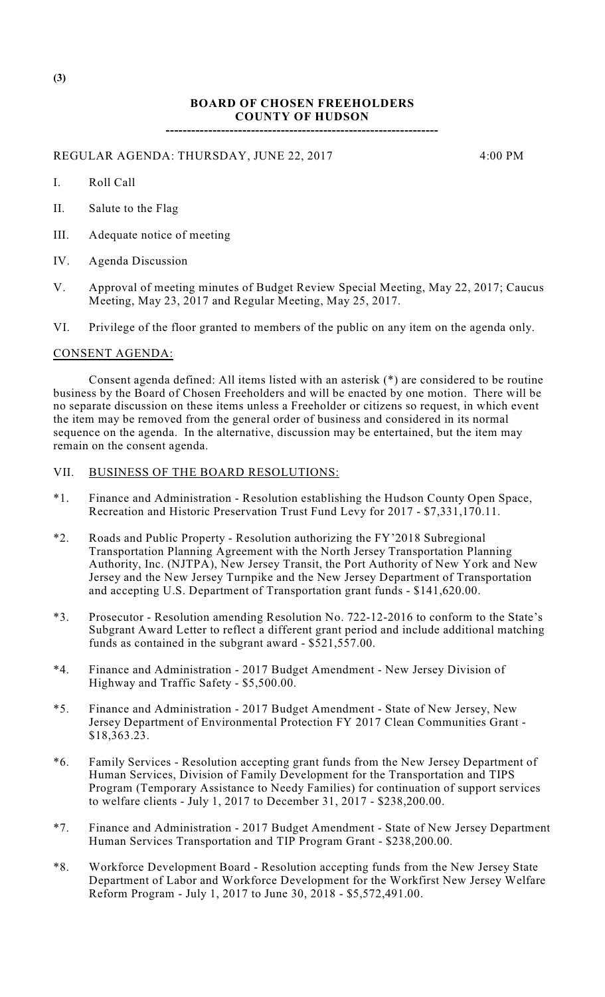## **BOARD OF CHOSEN FREEHOLDERS COUNTY OF HUDSON**

**----------------------------------------------------------------**

REGULAR AGENDA: THURSDAY, JUNE 22, 2017 4:00 PM

I. Roll Call

- II. Salute to the Flag
- III. Adequate notice of meeting
- IV. Agenda Discussion
- V. Approval of meeting minutes of Budget Review Special Meeting, May 22, 2017; Caucus Meeting, May 23, 2017 and Regular Meeting, May 25, 2017.

VI. Privilege of the floor granted to members of the public on any item on the agenda only.

## CONSENT AGENDA:

Consent agenda defined: All items listed with an asterisk (\*) are considered to be routine business by the Board of Chosen Freeholders and will be enacted by one motion. There will be no separate discussion on these items unless a Freeholder or citizens so request, in which event the item may be removed from the general order of business and considered in its normal sequence on the agenda. In the alternative, discussion may be entertained, but the item may remain on the consent agenda.

## VII. BUSINESS OF THE BOARD RESOLUTIONS:

- \*1. Finance and Administration Resolution establishing the Hudson County Open Space, Recreation and Historic Preservation Trust Fund Levy for 2017 - \$7,331,170.11.
- \*2. Roads and Public Property Resolution authorizing the FY'2018 Subregional Transportation Planning Agreement with the North Jersey Transportation Planning Authority, Inc. (NJTPA), New Jersey Transit, the Port Authority of New York and New Jersey and the New Jersey Turnpike and the New Jersey Department of Transportation and accepting U.S. Department of Transportation grant funds - \$141,620.00.
- \*3. Prosecutor Resolution amending Resolution No. 722-12-2016 to conform to the State's Subgrant Award Letter to reflect a different grant period and include additional matching funds as contained in the subgrant award - \$521,557.00.
- \*4. Finance and Administration 2017 Budget Amendment New Jersey Division of Highway and Traffic Safety - \$5,500.00.
- \*5. Finance and Administration 2017 Budget Amendment State of New Jersey, New Jersey Department of Environmental Protection FY 2017 Clean Communities Grant - \$18,363.23.
- \*6. Family Services Resolution accepting grant funds from the New Jersey Department of Human Services, Division of Family Development for the Transportation and TIPS Program (Temporary Assistance to Needy Families) for continuation of support services to welfare clients - July 1, 2017 to December 31, 2017 - \$238,200.00.
- \*7. Finance and Administration 2017 Budget Amendment State of New Jersey Department Human Services Transportation and TIP Program Grant - \$238,200.00.
- \*8. Workforce Development Board Resolution accepting funds from the New Jersey State Department of Labor and Workforce Development for the Workfirst New Jersey Welfare Reform Program - July 1, 2017 to June 30, 2018 - \$5,572,491.00.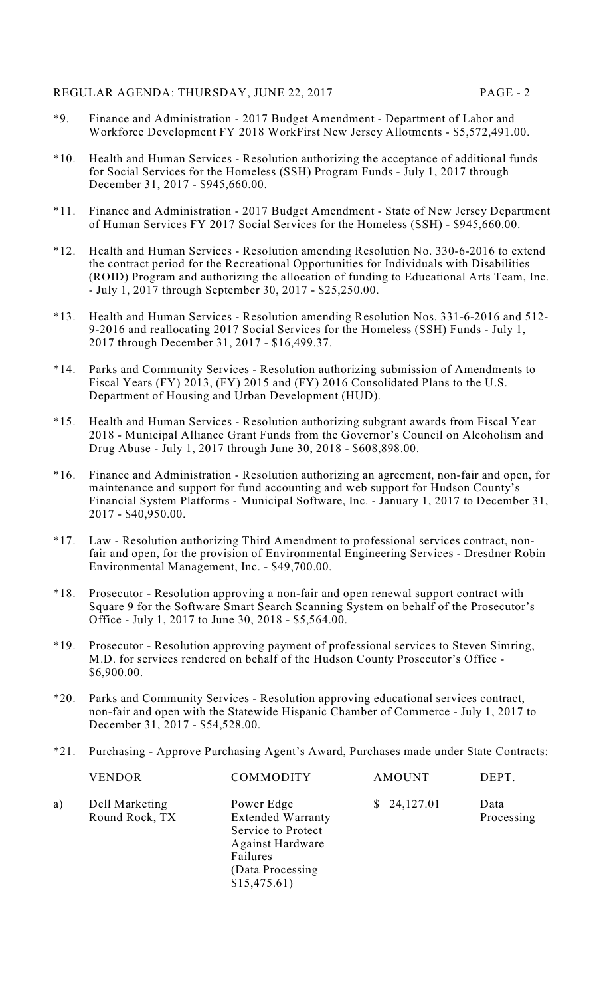- \*9. Finance and Administration 2017 Budget Amendment Department of Labor and Workforce Development FY 2018 WorkFirst New Jersey Allotments - \$5,572,491.00.
- \*10. Health and Human Services Resolution authorizing the acceptance of additional funds for Social Services for the Homeless (SSH) Program Funds - July 1, 2017 through December 31, 2017 - \$945,660.00.
- \*11. Finance and Administration 2017 Budget Amendment State of New Jersey Department of Human Services FY 2017 Social Services for the Homeless (SSH) - \$945,660.00.
- \*12. Health and Human Services Resolution amending Resolution No. 330-6-2016 to extend the contract period for the Recreational Opportunities for Individuals with Disabilities (ROID) Program and authorizing the allocation of funding to Educational Arts Team, Inc. - July 1, 2017 through September 30, 2017 - \$25,250.00.
- \*13. Health and Human Services Resolution amending Resolution Nos. 331-6-2016 and 512- 9-2016 and reallocating 2017 Social Services for the Homeless (SSH) Funds - July 1, 2017 through December 31, 2017 - \$16,499.37.
- \*14. Parks and Community Services Resolution authorizing submission of Amendments to Fiscal Years (FY) 2013, (FY) 2015 and (FY) 2016 Consolidated Plans to the U.S. Department of Housing and Urban Development (HUD).
- \*15. Health and Human Services Resolution authorizing subgrant awards from Fiscal Year 2018 - Municipal Alliance Grant Funds from the Governor's Council on Alcoholism and Drug Abuse - July 1, 2017 through June 30, 2018 - \$608,898.00.
- \*16. Finance and Administration Resolution authorizing an agreement, non-fair and open, for maintenance and support for fund accounting and web support for Hudson County's Financial System Platforms - Municipal Software, Inc. - January 1, 2017 to December 31, 2017 - \$40,950.00.
- \*17. Law Resolution authorizing Third Amendment to professional services contract, nonfair and open, for the provision of Environmental Engineering Services - Dresdner Robin Environmental Management, Inc. - \$49,700.00.
- \*18. Prosecutor Resolution approving a non-fair and open renewal support contract with Square 9 for the Software Smart Search Scanning System on behalf of the Prosecutor's Office - July 1, 2017 to June 30, 2018 - \$5,564.00.
- \*19. Prosecutor Resolution approving payment of professional services to Steven Simring, M.D. for services rendered on behalf of the Hudson County Prosecutor's Office - \$6,900.00.
- \*20. Parks and Community Services Resolution approving educational services contract, non-fair and open with the Statewide Hispanic Chamber of Commerce - July 1, 2017 to December 31, 2017 - \$54,528.00.
- \*21. Purchasing Approve Purchasing Agent's Award, Purchases made under State Contracts:

| Dell Marketing<br>a)<br>Round Rock, TX | Power Edge<br><b>Extended Warranty</b><br>Service to Protect<br><b>Against Hardware</b><br>Failures<br>(Data Processing)<br>\$15,475.61) | \$24,127.01 | Data<br>Processing |
|----------------------------------------|------------------------------------------------------------------------------------------------------------------------------------------|-------------|--------------------|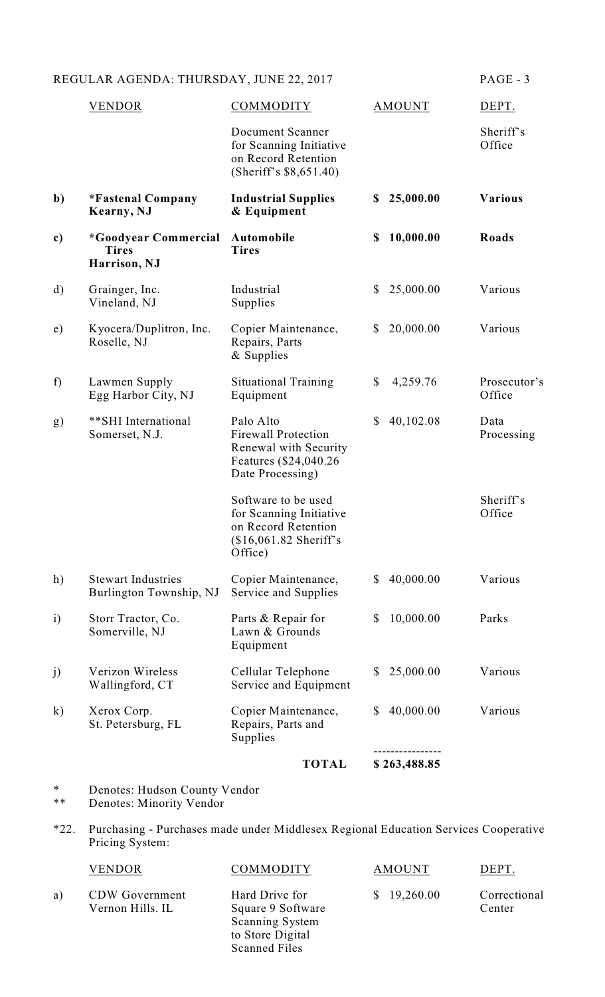|              | <b>VENDOR</b>                                        | COMMODITY                                                                                                      |    | <b>AMOUNT</b> | DEPT.                  |
|--------------|------------------------------------------------------|----------------------------------------------------------------------------------------------------------------|----|---------------|------------------------|
|              |                                                      | Document Scanner<br>for Scanning Initiative<br>on Record Retention<br>(Sheriff's $$8,651.40$ )                 |    |               | Sheriff's<br>Office    |
| b)           | *Fastenal Company<br>Kearny, NJ                      | <b>Industrial Supplies</b><br>& Equipment                                                                      | \$ | 25,000.00     | <b>Various</b>         |
| c)           | *Goodyear Commercial<br><b>Tires</b><br>Harrison, NJ | Automobile<br><b>Tires</b>                                                                                     | \$ | 10,000.00     | <b>Roads</b>           |
| d)           | Grainger, Inc.<br>Vineland, NJ                       | Industrial<br>Supplies                                                                                         | \$ | 25,000.00     | Various                |
| e)           | Kyocera/Duplitron, Inc.<br>Roselle, NJ               | Copier Maintenance,<br>Repairs, Parts<br>& Supplies                                                            | \$ | 20,000.00     | Various                |
| f            | Lawmen Supply<br>Egg Harbor City, NJ                 | <b>Situational Training</b><br>Equipment                                                                       | \$ | 4,259.76      | Prosecutor's<br>Office |
| g)           | **SHI International<br>Somerset, N.J.                | Palo Alto<br><b>Firewall Protection</b><br>Renewal with Security<br>Features (\$24,040.26)<br>Date Processing) | \$ | 40,102.08     | Data<br>Processing     |
|              |                                                      | Software to be used<br>for Scanning Initiative<br>on Record Retention<br>(\$16,061.82 Sheriff's<br>Office)     |    |               | Sheriff's<br>Office    |
| h)           | <b>Stewart Industries</b><br>Burlington Township, NJ | Copier Maintenance,<br>Service and Supplies                                                                    | \$ | 40,000.00     | Various                |
| $\mathbf{i}$ | Storr Tractor, Co.<br>Somerville, NJ                 | Parts & Repair for<br>Lawn & Grounds<br>Equipment                                                              | \$ | 10,000.00     | Parks                  |
| j)           | Verizon Wireless<br>Wallingford, CT                  | Cellular Telephone<br>Service and Equipment                                                                    | S. | 25,000.00     | Various                |
| $\bf k)$     | Xerox Corp.<br>St. Petersburg, FL                    | Copier Maintenance,<br>Repairs, Parts and<br>Supplies                                                          | \$ | 40,000.00     | Various                |
|              |                                                      | <b>TOTAL</b>                                                                                                   |    | \$263,488.85  |                        |

\* Denotes: Hudson County Vendor

\*\* Denotes: Minority Vendor

\*22. Purchasing - Purchases made under Middlesex Regional Education Services Cooperative Pricing System:

|    | VENDOR                                    | COMMODITY                                                                                                 | AMOUNT      | DEPT.                  |
|----|-------------------------------------------|-----------------------------------------------------------------------------------------------------------|-------------|------------------------|
| a) | <b>CDW</b> Government<br>Vernon Hills. IL | Hard Drive for<br>Square 9 Software<br><b>Scanning System</b><br>to Store Digital<br><b>Scanned Files</b> | \$19,260.00 | Correctional<br>Center |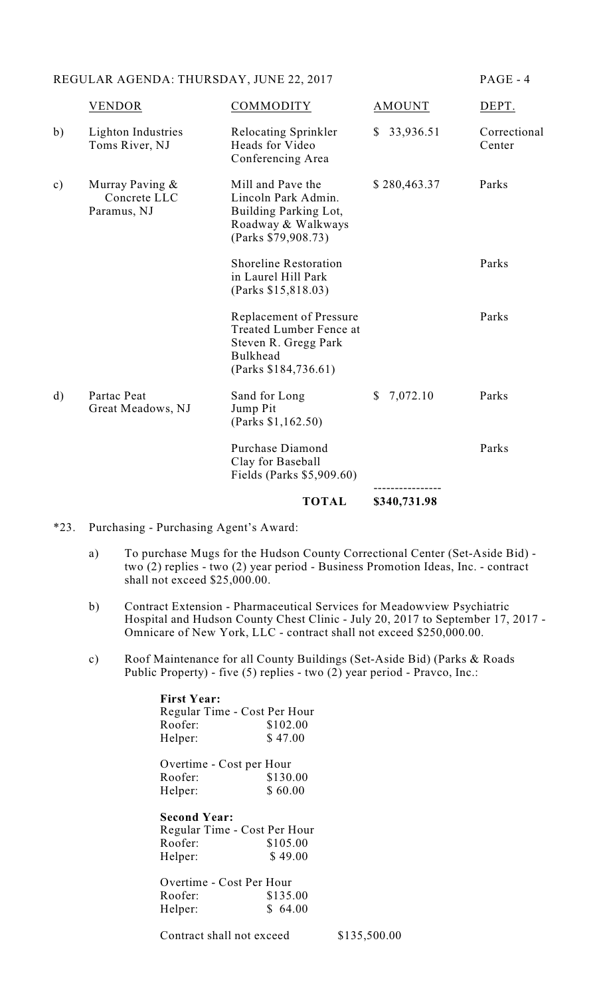|               |                                                   | <b>TOTAL</b>                                                                                                                  | \$340,731.98             |                        |
|---------------|---------------------------------------------------|-------------------------------------------------------------------------------------------------------------------------------|--------------------------|------------------------|
|               |                                                   | Purchase Diamond<br>Clay for Baseball<br>Fields (Parks \$5,909.60)                                                            |                          | Parks                  |
| $\mathbf{d}$  | Partac Peat<br>Great Meadows, NJ                  | Sand for Long<br>Jump Pit<br>(Parks \$1,162.50)                                                                               | 7,072.10<br>$\mathbb{S}$ | Parks                  |
|               |                                                   | <b>Replacement of Pressure</b><br>Treated Lumber Fence at<br>Steven R. Gregg Park<br><b>Bulkhead</b><br>(Parks \$184, 736.61) |                          | Parks                  |
|               |                                                   | <b>Shoreline Restoration</b><br>in Laurel Hill Park<br>(Parks \$15,818.03)                                                    |                          | Parks                  |
| $\mathbf{c})$ | Murray Paving $\&$<br>Concrete LLC<br>Paramus, NJ | Mill and Pave the<br>Lincoln Park Admin.<br>Building Parking Lot,<br>Roadway & Walkways<br>(Parks \$79,908.73)                | \$280,463.37             | Parks                  |
| b)            | Lighton Industries<br>Toms River, NJ              | Relocating Sprinkler<br>Heads for Video<br>Conferencing Area                                                                  | 33,936.51<br>\$          | Correctional<br>Center |
|               | VENDOR                                            | <b>COMMODITY</b>                                                                                                              | AMOUNT                   | DEPT.                  |

### \*23. Purchasing - Purchasing Agent's Award:

- a) To purchase Mugs for the Hudson County Correctional Center (Set-Aside Bid) two (2) replies - two (2) year period - Business Promotion Ideas, Inc. - contract shall not exceed \$25,000.00.
- b) Contract Extension Pharmaceutical Services for Meadowview Psychiatric Hospital and Hudson County Chest Clinic - July 20, 2017 to September 17, 2017 - Omnicare of New York, LLC - contract shall not exceed \$250,000.00.
- c) Roof Maintenance for all County Buildings (Set-Aside Bid) (Parks & Roads Public Property) - five (5) replies - two (2) year period - Pravco, Inc.:

| <b>First Year:</b>           |          |
|------------------------------|----------|
| Regular Time - Cost Per Hour |          |
| Roofer:                      | \$102.00 |
| Helper:                      | \$47.00  |
| Overtime - Cost per Hour     |          |
| Roofer:                      | \$130.00 |
| Helper:                      | \$60.00  |
| <b>Second Year:</b>          |          |
| Regular Time - Cost Per Hour |          |
| Roofer:                      | \$105.00 |
| Helper:                      | \$49.00  |
| Overtime - Cost Per Hour     |          |
| Roofer:                      | \$135.00 |

Helper: \$ 64.00

Contract shall not exceed \$135,500.00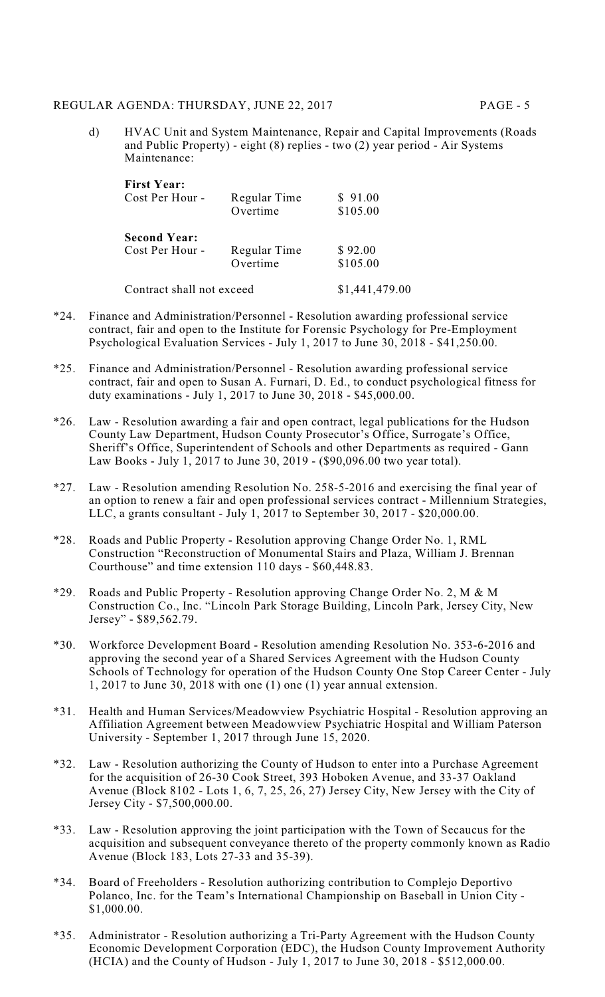- 
- d) HVAC Unit and System Maintenance, Repair and Capital Improvements (Roads and Public Property) - eight (8) replies - two (2) year period - Air Systems Maintenance:

| <b>First Year:</b><br>Cost Per Hour -                              | Regular Time<br>Overtime | \$91.00<br>\$105.00 |
|--------------------------------------------------------------------|--------------------------|---------------------|
| <b>Second Year:</b><br>Regular Time<br>Cost Per Hour -<br>Overtime |                          | \$92.00<br>\$105.00 |
| Contract shall not exceed                                          | \$1,441,479.00           |                     |

- \*24. Finance and Administration/Personnel Resolution awarding professional service contract, fair and open to the Institute for Forensic Psychology for Pre-Employment Psychological Evaluation Services - July 1, 2017 to June 30, 2018 - \$41,250.00.
- \*25. Finance and Administration/Personnel Resolution awarding professional service contract, fair and open to Susan A. Furnari, D. Ed., to conduct psychological fitness for duty examinations - July 1, 2017 to June 30, 2018 - \$45,000.00.
- \*26. Law Resolution awarding a fair and open contract, legal publications for the Hudson County Law Department, Hudson County Prosecutor's Office, Surrogate's Office, Sheriff's Office, Superintendent of Schools and other Departments as required - Gann Law Books - July 1, 2017 to June 30, 2019 - (\$90,096.00 two year total).
- \*27. Law Resolution amending Resolution No. 258-5-2016 and exercising the final year of an option to renew a fair and open professional services contract - Millennium Strategies, LLC, a grants consultant - July 1, 2017 to September 30, 2017 - \$20,000.00.
- \*28. Roads and Public Property Resolution approving Change Order No. 1, RML Construction "Reconstruction of Monumental Stairs and Plaza, William J. Brennan Courthouse" and time extension 110 days - \$60,448.83.
- \*29. Roads and Public Property Resolution approving Change Order No. 2, M & M Construction Co., Inc. "Lincoln Park Storage Building, Lincoln Park, Jersey City, New Jersey" - \$89,562.79.
- \*30. Workforce Development Board Resolution amending Resolution No. 353-6-2016 and approving the second year of a Shared Services Agreement with the Hudson County Schools of Technology for operation of the Hudson County One Stop Career Center - July 1, 2017 to June 30, 2018 with one (1) one (1) year annual extension.
- \*31. Health and Human Services/Meadowview Psychiatric Hospital Resolution approving an Affiliation Agreement between Meadowview Psychiatric Hospital and William Paterson University - September 1, 2017 through June 15, 2020.
- \*32. Law Resolution authorizing the County of Hudson to enter into a Purchase Agreement for the acquisition of 26-30 Cook Street, 393 Hoboken Avenue, and 33-37 Oakland Avenue (Block 8102 - Lots 1, 6, 7, 25, 26, 27) Jersey City, New Jersey with the City of Jersey City - \$7,500,000.00.
- \*33. Law Resolution approving the joint participation with the Town of Secaucus for the acquisition and subsequent conveyance thereto of the property commonly known as Radio Avenue (Block 183, Lots 27-33 and 35-39).
- \*34. Board of Freeholders Resolution authorizing contribution to Complejo Deportivo Polanco, Inc. for the Team's International Championship on Baseball in Union City - \$1,000.00.
- \*35. Administrator Resolution authorizing a Tri-Party Agreement with the Hudson County Economic Development Corporation (EDC), the Hudson County Improvement Authority (HCIA) and the County of Hudson - July 1, 2017 to June 30, 2018 - \$512,000.00.